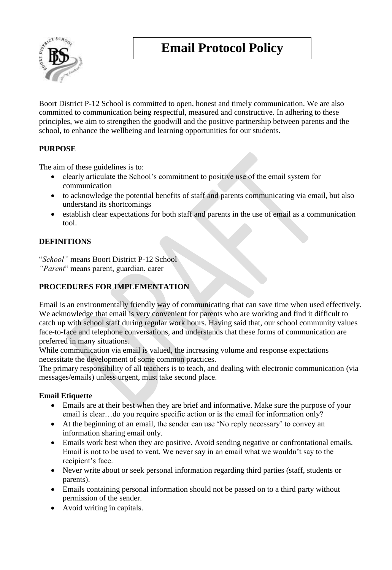# **Email Protocol Policy**



Boort District P-12 School is committed to open, honest and timely communication. We are also committed to communication being respectful, measured and constructive. In adhering to these principles, we aim to strengthen the goodwill and the positive partnership between parents and the school, to enhance the wellbeing and learning opportunities for our students.

# **PURPOSE**

The aim of these guidelines is to:

- clearly articulate the School's commitment to positive use of the email system for communication
- to acknowledge the potential benefits of staff and parents communicating via email, but also understand its shortcomings
- establish clear expectations for both staff and parents in the use of email as a communication tool.

### **DEFINITIONS**

"*School"* means Boort District P-12 School *"Parent*" means parent, guardian, carer

# **PROCEDURES FOR IMPLEMENTATION**

Email is an environmentally friendly way of communicating that can save time when used effectively. We acknowledge that email is very convenient for parents who are working and find it difficult to catch up with school staff during regular work hours. Having said that, our school community values face-to-face and telephone conversations, and understands that these forms of communication are preferred in many situations.

While communication via email is valued, the increasing volume and response expectations necessitate the development of some common practices.

The primary responsibility of all teachers is to teach, and dealing with electronic communication (via messages/emails) unless urgent, must take second place.

#### **Email Etiquette**

- Emails are at their best when they are brief and informative. Make sure the purpose of your email is clear…do you require specific action or is the email for information only?
- At the beginning of an email, the sender can use 'No reply necessary' to convey an information sharing email only.
- Emails work best when they are positive. Avoid sending negative or confrontational emails. Email is not to be used to vent. We never say in an email what we wouldn't say to the recipient's face.
- Never write about or seek personal information regarding third parties (staff, students or parents).
- Emails containing personal information should not be passed on to a third party without permission of the sender.
- Avoid writing in capitals.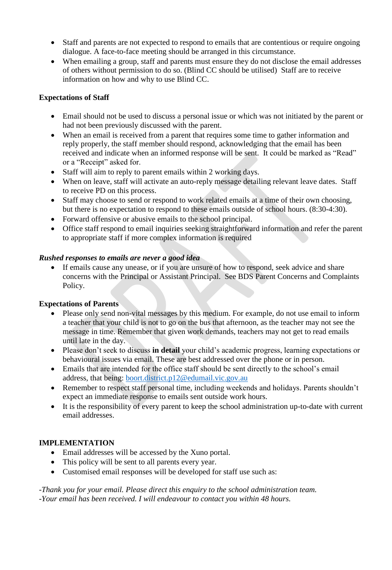- Staff and parents are not expected to respond to emails that are contentious or require ongoing dialogue. A face-to-face meeting should be arranged in this circumstance.
- When emailing a group, staff and parents must ensure they do not disclose the email addresses of others without permission to do so. (Blind CC should be utilised) Staff are to receive information on how and why to use Blind CC.

#### **Expectations of Staff**

- Email should not be used to discuss a personal issue or which was not initiated by the parent or had not been previously discussed with the parent.
- When an email is received from a parent that requires some time to gather information and reply properly, the staff member should respond, acknowledging that the email has been received and indicate when an informed response will be sent. It could be marked as "Read" or a "Receipt" asked for.
- Staff will aim to reply to parent emails within 2 working days.
- When on leave, staff will activate an auto-reply message detailing relevant leave dates. Staff to receive PD on this process.
- Staff may choose to send or respond to work related emails at a time of their own choosing, but there is no expectation to respond to these emails outside of school hours. (8:30-4:30).
- Forward offensive or abusive emails to the school principal.
- Office staff respond to email inquiries seeking straightforward information and refer the parent to appropriate staff if more complex information is required

#### *Rushed responses to emails are never a good idea*

 If emails cause any unease, or if you are unsure of how to respond, seek advice and share concerns with the Principal or Assistant Principal. See BDS Parent Concerns and Complaints Policy.

#### **Expectations of Parents**

- Please only send non-vital messages by this medium. For example, do not use email to inform a teacher that your child is not to go on the bus that afternoon, as the teacher may not see the message in time. Remember that given work demands, teachers may not get to read emails until late in the day.
- Please don't seek to discuss **in detail** your child's academic progress, learning expectations or behavioural issues via email. These are best addressed over the phone or in person.
- Emails that are intended for the office staff should be sent directly to the school's email address, that being: [boort.district.p12@edumail.vic.gov.au](mailto:boort.district.p12@edumail.vic.gov.au)
- Remember to respect staff personal time, including weekends and holidays. Parents shouldn't expect an immediate response to emails sent outside work hours.
- It is the responsibility of every parent to keep the school administration up-to-date with current email addresses.

#### **IMPLEMENTATION**

- Email addresses will be accessed by the Xuno portal.
- This policy will be sent to all parents every year.
- Customised email responses will be developed for staff use such as:

*-Thank you for your email. Please direct this enquiry to the school administration team. -Your email has been received. I will endeavour to contact you within 48 hours.*